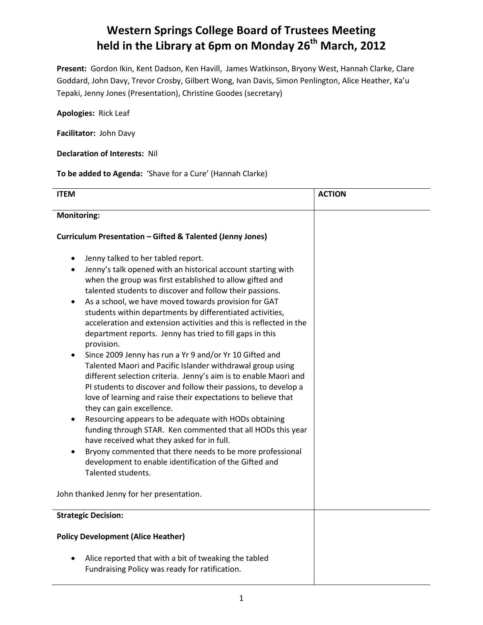## **Western Springs College Board of Trustees Meeting held in the Library at 6pm on Monday 26 th March, 2012**

**Present:** Gordon Ikin, Kent Dadson, Ken Havill, James Watkinson, Bryony West, Hannah Clarke, Clare Goddard, John Davy, Trevor Crosby, Gilbert Wong, Ivan Davis, Simon Penlington, Alice Heather, Ka'u Tepaki, Jenny Jones (Presentation), Christine Goodes (secretary)

**Apologies:** Rick Leaf

**Facilitator:** John Davy

**Declaration of Interests:** Nil

**To be added to Agenda:** 'Shave for a Cure' (Hannah Clarke)

| <b>ITEM</b>                                                                                                                                                                                                                                                                                                                                                                                                                                                                                                                                                                                                                                                                                                                                                                                                                                                                                                                                                                                                                                                                                                                                                                                                                  | <b>ACTION</b> |
|------------------------------------------------------------------------------------------------------------------------------------------------------------------------------------------------------------------------------------------------------------------------------------------------------------------------------------------------------------------------------------------------------------------------------------------------------------------------------------------------------------------------------------------------------------------------------------------------------------------------------------------------------------------------------------------------------------------------------------------------------------------------------------------------------------------------------------------------------------------------------------------------------------------------------------------------------------------------------------------------------------------------------------------------------------------------------------------------------------------------------------------------------------------------------------------------------------------------------|---------------|
| <b>Monitoring:</b>                                                                                                                                                                                                                                                                                                                                                                                                                                                                                                                                                                                                                                                                                                                                                                                                                                                                                                                                                                                                                                                                                                                                                                                                           |               |
| Curriculum Presentation - Gifted & Talented (Jenny Jones)                                                                                                                                                                                                                                                                                                                                                                                                                                                                                                                                                                                                                                                                                                                                                                                                                                                                                                                                                                                                                                                                                                                                                                    |               |
| Jenny talked to her tabled report.<br>Jenny's talk opened with an historical account starting with<br>when the group was first established to allow gifted and<br>talented students to discover and follow their passions.<br>As a school, we have moved towards provision for GAT<br>students within departments by differentiated activities,<br>acceleration and extension activities and this is reflected in the<br>department reports. Jenny has tried to fill gaps in this<br>provision.<br>Since 2009 Jenny has run a Yr 9 and/or Yr 10 Gifted and<br>Talented Maori and Pacific Islander withdrawal group using<br>different selection criteria. Jenny's aim is to enable Maori and<br>PI students to discover and follow their passions, to develop a<br>love of learning and raise their expectations to believe that<br>they can gain excellence.<br>Resourcing appears to be adequate with HODs obtaining<br>funding through STAR. Ken commented that all HODs this year<br>have received what they asked for in full.<br>Bryony commented that there needs to be more professional<br>development to enable identification of the Gifted and<br>Talented students.<br>John thanked Jenny for her presentation. |               |
| <b>Strategic Decision:</b>                                                                                                                                                                                                                                                                                                                                                                                                                                                                                                                                                                                                                                                                                                                                                                                                                                                                                                                                                                                                                                                                                                                                                                                                   |               |
| <b>Policy Development (Alice Heather)</b>                                                                                                                                                                                                                                                                                                                                                                                                                                                                                                                                                                                                                                                                                                                                                                                                                                                                                                                                                                                                                                                                                                                                                                                    |               |
| Alice reported that with a bit of tweaking the tabled<br>Fundraising Policy was ready for ratification.                                                                                                                                                                                                                                                                                                                                                                                                                                                                                                                                                                                                                                                                                                                                                                                                                                                                                                                                                                                                                                                                                                                      |               |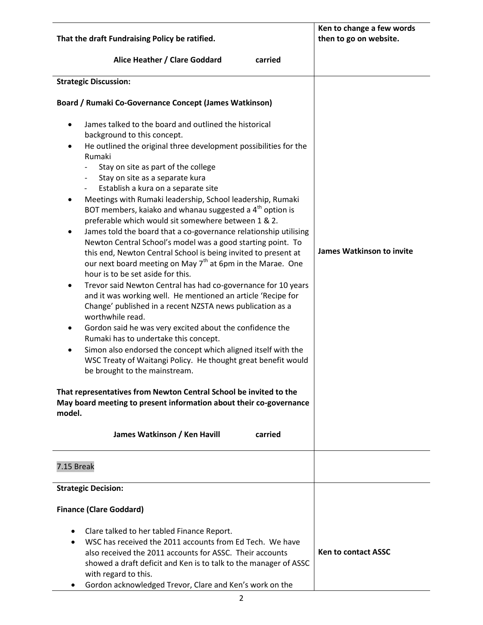| That the draft Fundraising Policy be ratified.                                                                                                                                                                                                                                                                                                                                                                                                                                                                                                                                                                                                                                                                                                                                                                                                                                                                                                                                                                                                                                                                                                                                                                                                                                                                                                                                                                                                                                                                                                                                                                          | Ken to change a few words<br>then to go on website. |
|-------------------------------------------------------------------------------------------------------------------------------------------------------------------------------------------------------------------------------------------------------------------------------------------------------------------------------------------------------------------------------------------------------------------------------------------------------------------------------------------------------------------------------------------------------------------------------------------------------------------------------------------------------------------------------------------------------------------------------------------------------------------------------------------------------------------------------------------------------------------------------------------------------------------------------------------------------------------------------------------------------------------------------------------------------------------------------------------------------------------------------------------------------------------------------------------------------------------------------------------------------------------------------------------------------------------------------------------------------------------------------------------------------------------------------------------------------------------------------------------------------------------------------------------------------------------------------------------------------------------------|-----------------------------------------------------|
| Alice Heather / Clare Goddard<br>carried                                                                                                                                                                                                                                                                                                                                                                                                                                                                                                                                                                                                                                                                                                                                                                                                                                                                                                                                                                                                                                                                                                                                                                                                                                                                                                                                                                                                                                                                                                                                                                                |                                                     |
| <b>Strategic Discussion:</b>                                                                                                                                                                                                                                                                                                                                                                                                                                                                                                                                                                                                                                                                                                                                                                                                                                                                                                                                                                                                                                                                                                                                                                                                                                                                                                                                                                                                                                                                                                                                                                                            |                                                     |
| Board / Rumaki Co-Governance Concept (James Watkinson)                                                                                                                                                                                                                                                                                                                                                                                                                                                                                                                                                                                                                                                                                                                                                                                                                                                                                                                                                                                                                                                                                                                                                                                                                                                                                                                                                                                                                                                                                                                                                                  |                                                     |
| James talked to the board and outlined the historical<br>٠<br>background to this concept.<br>He outlined the original three development possibilities for the<br>$\bullet$<br>Rumaki<br>Stay on site as part of the college<br>Stay on site as a separate kura<br>$\overline{\phantom{a}}$<br>Establish a kura on a separate site<br>$\overline{\phantom{a}}$<br>Meetings with Rumaki leadership, School leadership, Rumaki<br>$\bullet$<br>BOT members, kaiako and whanau suggested a 4 <sup>th</sup> option is<br>preferable which would sit somewhere between 1 & 2.<br>James told the board that a co-governance relationship utilising<br>$\bullet$<br>Newton Central School's model was a good starting point. To<br>this end, Newton Central School is being invited to present at<br>our next board meeting on May $7th$ at 6pm in the Marae. One<br>hour is to be set aside for this.<br>Trevor said Newton Central has had co-governance for 10 years<br>$\bullet$<br>and it was working well. He mentioned an article 'Recipe for<br>Change' published in a recent NZSTA news publication as a<br>worthwhile read.<br>Gordon said he was very excited about the confidence the<br>٠<br>Rumaki has to undertake this concept.<br>Simon also endorsed the concept which aligned itself with the<br>$\bullet$<br>WSC Treaty of Waitangi Policy. He thought great benefit would<br>be brought to the mainstream.<br>That representatives from Newton Central School be invited to the<br>May board meeting to present information about their co-governance<br>model.<br>James Watkinson / Ken Havill<br>carried | <b>James Watkinson to invite</b>                    |
| 7.15 Break                                                                                                                                                                                                                                                                                                                                                                                                                                                                                                                                                                                                                                                                                                                                                                                                                                                                                                                                                                                                                                                                                                                                                                                                                                                                                                                                                                                                                                                                                                                                                                                                              |                                                     |
| <b>Strategic Decision:</b>                                                                                                                                                                                                                                                                                                                                                                                                                                                                                                                                                                                                                                                                                                                                                                                                                                                                                                                                                                                                                                                                                                                                                                                                                                                                                                                                                                                                                                                                                                                                                                                              |                                                     |
| <b>Finance (Clare Goddard)</b>                                                                                                                                                                                                                                                                                                                                                                                                                                                                                                                                                                                                                                                                                                                                                                                                                                                                                                                                                                                                                                                                                                                                                                                                                                                                                                                                                                                                                                                                                                                                                                                          |                                                     |
| Clare talked to her tabled Finance Report.<br>٠<br>WSC has received the 2011 accounts from Ed Tech. We have<br>$\bullet$<br>also received the 2011 accounts for ASSC. Their accounts<br>showed a draft deficit and Ken is to talk to the manager of ASSC<br>with regard to this.<br>Gordon acknowledged Trevor, Clare and Ken's work on the<br>٠                                                                                                                                                                                                                                                                                                                                                                                                                                                                                                                                                                                                                                                                                                                                                                                                                                                                                                                                                                                                                                                                                                                                                                                                                                                                        | <b>Ken to contact ASSC</b>                          |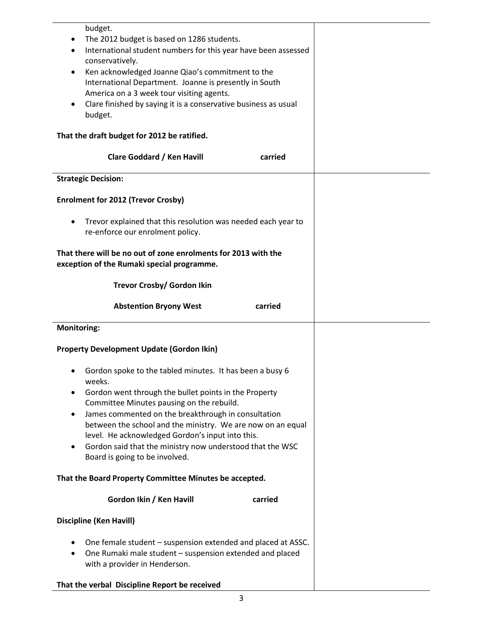| budget.                                                                    |  |
|----------------------------------------------------------------------------|--|
| The 2012 budget is based on 1286 students.                                 |  |
| International student numbers for this year have been assessed             |  |
| conservatively.                                                            |  |
| Ken acknowledged Joanne Qiao's commitment to the                           |  |
| International Department. Joanne is presently in South                     |  |
| America on a 3 week tour visiting agents.                                  |  |
| Clare finished by saying it is a conservative business as usual<br>budget. |  |
|                                                                            |  |
| That the draft budget for 2012 be ratified.                                |  |
|                                                                            |  |
| Clare Goddard / Ken Havill<br>carried                                      |  |
| <b>Strategic Decision:</b>                                                 |  |
| <b>Enrolment for 2012 (Trevor Crosby)</b>                                  |  |
|                                                                            |  |
| Trevor explained that this resolution was needed each year to              |  |
| re-enforce our enrolment policy.                                           |  |
|                                                                            |  |
| That there will be no out of zone enrolments for 2013 with the             |  |
| exception of the Rumaki special programme.                                 |  |
|                                                                            |  |
| Trevor Crosby/ Gordon Ikin                                                 |  |
|                                                                            |  |
| <b>Abstention Bryony West</b><br>carried                                   |  |
| <b>Monitoring:</b>                                                         |  |
|                                                                            |  |
| <b>Property Development Update (Gordon Ikin)</b>                           |  |
| Gordon spoke to the tabled minutes. It has been a busy 6<br>weeks.         |  |
| Gordon went through the bullet points in the Property                      |  |
| Committee Minutes pausing on the rebuild.                                  |  |
| James commented on the breakthrough in consultation<br>٠                   |  |
| between the school and the ministry. We are now on an equal                |  |
| level. He acknowledged Gordon's input into this.                           |  |
| Gordon said that the ministry now understood that the WSC                  |  |
| Board is going to be involved.                                             |  |
| That the Board Property Committee Minutes be accepted.                     |  |
|                                                                            |  |
| Gordon Ikin / Ken Havill<br>carried                                        |  |
| <b>Discipline (Ken Havill)</b>                                             |  |
| One female student – suspension extended and placed at ASSC.               |  |
| One Rumaki male student - suspension extended and placed                   |  |
| with a provider in Henderson.                                              |  |
|                                                                            |  |
|                                                                            |  |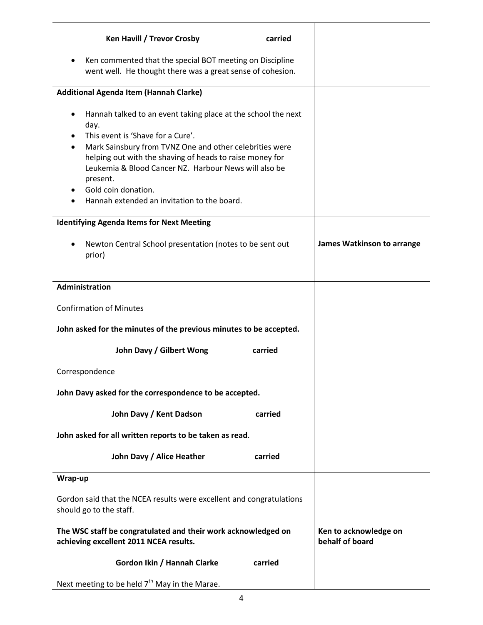| Ken Havill / Trevor Crosby<br>carried                                                                                                                                                                                                                                                                                                                                                  |                                          |
|----------------------------------------------------------------------------------------------------------------------------------------------------------------------------------------------------------------------------------------------------------------------------------------------------------------------------------------------------------------------------------------|------------------------------------------|
| Ken commented that the special BOT meeting on Discipline<br>went well. He thought there was a great sense of cohesion.                                                                                                                                                                                                                                                                 |                                          |
| Additional Agenda Item (Hannah Clarke)                                                                                                                                                                                                                                                                                                                                                 |                                          |
| Hannah talked to an event taking place at the school the next<br>٠<br>day.<br>This event is 'Shave for a Cure'.<br>Mark Sainsbury from TVNZ One and other celebrities were<br>٠<br>helping out with the shaving of heads to raise money for<br>Leukemia & Blood Cancer NZ. Harbour News will also be<br>present.<br>Gold coin donation.<br>Hannah extended an invitation to the board. |                                          |
| <b>Identifying Agenda Items for Next Meeting</b>                                                                                                                                                                                                                                                                                                                                       |                                          |
| Newton Central School presentation (notes to be sent out<br>٠<br>prior)                                                                                                                                                                                                                                                                                                                | <b>James Watkinson to arrange</b>        |
| <b>Administration</b>                                                                                                                                                                                                                                                                                                                                                                  |                                          |
| <b>Confirmation of Minutes</b>                                                                                                                                                                                                                                                                                                                                                         |                                          |
| John asked for the minutes of the previous minutes to be accepted.                                                                                                                                                                                                                                                                                                                     |                                          |
| John Davy / Gilbert Wong<br>carried                                                                                                                                                                                                                                                                                                                                                    |                                          |
| Correspondence                                                                                                                                                                                                                                                                                                                                                                         |                                          |
| John Davy asked for the correspondence to be accepted.                                                                                                                                                                                                                                                                                                                                 |                                          |
| John Davy / Kent Dadson<br>carried                                                                                                                                                                                                                                                                                                                                                     |                                          |
| John asked for all written reports to be taken as read.                                                                                                                                                                                                                                                                                                                                |                                          |
| John Davy / Alice Heather<br>carried                                                                                                                                                                                                                                                                                                                                                   |                                          |
| Wrap-up                                                                                                                                                                                                                                                                                                                                                                                |                                          |
| Gordon said that the NCEA results were excellent and congratulations<br>should go to the staff.                                                                                                                                                                                                                                                                                        |                                          |
| The WSC staff be congratulated and their work acknowledged on<br>achieving excellent 2011 NCEA results.                                                                                                                                                                                                                                                                                | Ken to acknowledge on<br>behalf of board |
| Gordon Ikin / Hannah Clarke<br>carried                                                                                                                                                                                                                                                                                                                                                 |                                          |
| Next meeting to be held $7th$ May in the Marae.                                                                                                                                                                                                                                                                                                                                        |                                          |